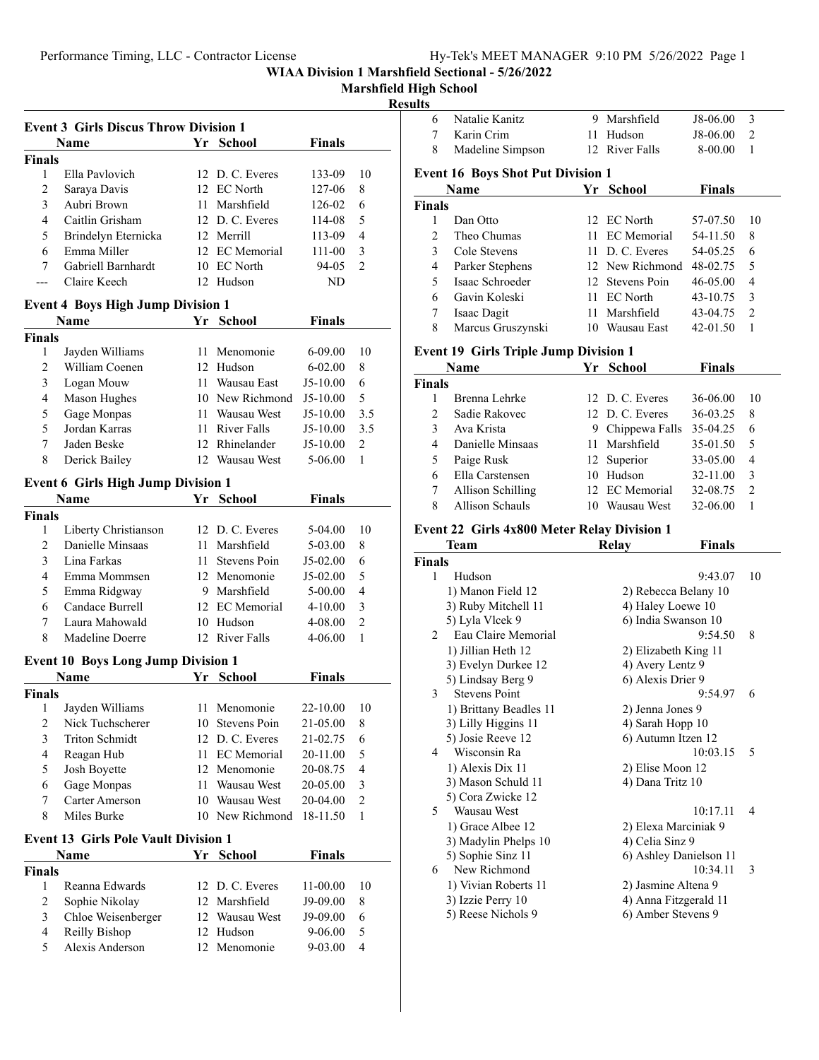**Marshfield High School**

### **Results**

|                | <b>Event 3 Girls Discus Throw Division 1</b>     |    |                 |               |                |  |
|----------------|--------------------------------------------------|----|-----------------|---------------|----------------|--|
|                | Name                                             |    | Yr School       | Finals        |                |  |
| <b>Finals</b>  |                                                  |    |                 |               |                |  |
| 1              | Ella Pavlovich                                   |    | 12 D. C. Everes | 133-09        | 10             |  |
| 2              | Saraya Davis                                     |    | 12 EC North     | 127-06        | 8              |  |
| 3              | Aubri Brown                                      | 11 | Marshfield      | 126-02        | 6              |  |
| 4              | Caitlin Grisham                                  |    | 12 D. C. Everes | 114-08        | 5              |  |
| 5              | Brindelyn Eternicka                              |    | 12 Merrill      | 113-09        | 4              |  |
| 6              | Emma Miller                                      |    | 12 EC Memorial  | 111-00        | 3              |  |
| 7              | Gabriell Barnhardt                               |    | 10 EC North     | 94-05         | $\overline{2}$ |  |
| ---            | Claire Keech                                     |    | 12 Hudson       | ND            |                |  |
|                |                                                  |    |                 |               |                |  |
|                | <b>Event 4 Boys High Jump Division 1</b><br>Name |    | Yr School       | <b>Finals</b> |                |  |
| <b>Finals</b>  |                                                  |    |                 |               |                |  |
| 1              | Jayden Williams                                  | 11 | Menomonie       | 6-09.00       | 10             |  |
| 2              | William Coenen                                   |    | 12 Hudson       | 6-02.00       | 8              |  |
| 3              | Logan Mouw                                       |    | 11 Wausau East  | J5-10.00      | 6              |  |
| 4              | Mason Hughes                                     |    | 10 New Richmond | J5-10.00      | 5              |  |
| 5              | Gage Monpas                                      |    | 11 Wausau West  | J5-10.00      | 3.5            |  |
| 5              | Jordan Karras                                    |    | 11 River Falls  | J5-10.00      | 3.5            |  |
| 7              | Jaden Beske                                      |    | 12 Rhinelander  | J5-10.00      | $\overline{2}$ |  |
| 8              | Derick Bailey                                    |    | 12 Wausau West  | 5-06.00       | 1              |  |
|                |                                                  |    |                 |               |                |  |
|                | <b>Event 6 Girls High Jump Division 1</b>        |    |                 |               |                |  |
|                | <b>Name</b>                                      |    | Yr School       | <b>Finals</b> |                |  |
| <b>Finals</b>  |                                                  |    |                 |               |                |  |
| 1              | Liberty Christianson                             |    | 12 D. C. Everes | 5-04.00       | 10             |  |
| 2              | Danielle Minsaas                                 |    | 11 Marshfield   | 5-03.00       | 8              |  |
| 3              | Lina Farkas                                      | 11 | Stevens Poin    | J5-02.00      | 6              |  |
| 4              | Emma Mommsen                                     |    | 12 Menomonie    | J5-02.00      | 5              |  |
| 5              | Emma Ridgway                                     |    | 9 Marshfield    | 5-00.00       | 4              |  |
| 6              | Candace Burrell                                  |    | 12 EC Memorial  | 4-10.00       | 3              |  |
| 7              | Laura Mahowald                                   |    | 10 Hudson       | 4-08.00       | $\overline{c}$ |  |
| 8              | Madeline Doerre                                  |    | 12 River Falls  | 4-06.00       | 1              |  |
|                | <b>Event 10 Boys Long Jump Division 1</b>        |    |                 |               |                |  |
|                | Name                                             | Yr | School          | Finals        |                |  |
| <b>Finals</b>  |                                                  |    |                 |               |                |  |
| 1              | Jayden Williams                                  | 11 | Menomonie       | 22-10.00      | 10             |  |
| 2              | Nick Tuchscherer                                 |    | 10 Stevens Poin | 21-05.00      | 8              |  |
| 3              | <b>Triton Schmidt</b>                            |    | 12 D.C. Everes  | 21-02.75      | 6              |  |
| 4              | Reagan Hub                                       |    | 11 EC Memorial  | 20-11.00      | 5              |  |
| 5              | Josh Boyette                                     |    | 12 Menomonie    | 20-08.75      | 4              |  |
| 6              | Gage Monpas                                      | 11 | Wausau West     | 20-05.00      | 3              |  |
| 7              | Carter Amerson                                   |    | 10 Wausau West  | 20-04.00      | $\overline{c}$ |  |
| 8              | Miles Burke                                      | 10 | New Richmond    | 18-11.50      | 1              |  |
|                | <b>Event 13 Girls Pole Vault Division 1</b>      |    |                 |               |                |  |
|                | Name                                             |    | Yr School       | <b>Finals</b> |                |  |
| <b>Finals</b>  |                                                  |    |                 |               |                |  |
| 1              | Reanna Edwards                                   |    | 12 D. C. Everes | 11-00.00      | 10             |  |
| $\overline{2}$ | Sophie Nikolay                                   |    | 12 Marshfield   | J9-09.00      | 8              |  |
| 3              | Chloe Weisenberger                               |    | 12 Wausau West  | J9-09.00      | 6              |  |
| 4              | Reilly Bishop                                    |    | 12 Hudson       | 9-06.00       | 5              |  |
| 5              | Alexis Anderson                                  |    | 12 Menomonie    | 9-03.00       | 4              |  |
|                |                                                  |    |                 |               |                |  |

| 6                  | Natalie Kanitz                                      | 9.  | Marshfield                                  | J8-06.00      | 3              |
|--------------------|-----------------------------------------------------|-----|---------------------------------------------|---------------|----------------|
| 7                  | Karin Crim                                          | 11  | Hudson                                      | J8-06.00      | 2              |
| 8                  | Madeline Simpson                                    |     | 12 River Falls                              | 8-00.00       | 1              |
|                    | <b>Event 16 Boys Shot Put Division 1</b>            |     |                                             |               |                |
|                    | <b>Name</b>                                         |     | Yr School                                   | Finals        |                |
| <b>Finals</b>      |                                                     |     |                                             |               |                |
| 1                  | Dan Otto                                            |     | 12 EC North                                 | 57-07.50      | 10             |
| 2                  | Theo Chumas                                         | 11. | <b>EC</b> Memorial                          | 54-11.50      | 8              |
| 3                  | Cole Stevens                                        |     | 11 D. C. Everes                             | 54-05.25      | 6              |
| $\overline{4}$     | Parker Stephens                                     |     | 12 New Richmond                             | 48-02.75      | 5              |
| 5                  | Isaac Schroeder                                     |     | 12 Stevens Poin                             | 46-05.00      | $\overline{4}$ |
| 6                  | Gavin Koleski                                       |     | 11 EC North                                 | 43-10.75      | $\mathfrak{Z}$ |
| 7                  | Isaac Dagit                                         |     | 11 Marshfield                               | 43-04.75      | $\overline{2}$ |
| 8                  | Marcus Gruszynski                                   |     | 10 Wausau East                              | 42-01.50      | 1              |
|                    | <b>Event 19 Girls Triple Jump Division 1</b>        |     |                                             |               |                |
|                    | Name                                                |     | Yr School                                   | Finals        |                |
| <b>Finals</b>      |                                                     |     |                                             |               |                |
| 1                  | Brenna Lehrke                                       |     | 12 D. C. Everes                             | 36-06.00      | 10             |
| 2                  | Sadie Rakovec                                       |     | 12 D. C. Everes                             | 36-03.25      | 8              |
| 3                  | Ava Krista                                          |     | 9 Chippewa Falls                            | 35-04.25      | 6              |
| $\overline{4}$     | Danielle Minsaas                                    | 11  | Marshfield                                  | 35-01.50      | 5              |
| 5                  | Paige Rusk                                          |     | 12 Superior                                 | 33-05.00      | $\overline{4}$ |
| 6                  | Ella Carstensen                                     |     | 10 Hudson                                   | 32-11.00      | 3              |
| 7                  | Allison Schilling                                   |     | 12 EC Memorial                              | 32-08.75      | $\overline{c}$ |
| 8                  | <b>Allison Schauls</b>                              |     | 10 Wausau West                              | 32-06.00      | 1              |
|                    |                                                     |     |                                             |               |                |
|                    |                                                     |     |                                             |               |                |
|                    | Event 22 Girls 4x800 Meter Relay Division 1<br>Team |     |                                             |               |                |
|                    |                                                     |     | Relay                                       | <b>Finals</b> |                |
| <b>Finals</b><br>1 | Hudson                                              |     |                                             | 9:43.07       | 10             |
|                    |                                                     |     |                                             |               |                |
|                    | 1) Manon Field 12                                   |     | 2) Rebecca Belany 10                        |               |                |
|                    | 3) Ruby Mitchell 11<br>5) Lyla Vlcek 9              |     | 4) Haley Loewe 10<br>6) India Swanson 10    |               |                |
| 2                  | Eau Claire Memorial                                 |     |                                             | 9:54.50       | 8              |
|                    | 1) Jillian Heth 12                                  |     | 2) Elizabeth King 11                        |               |                |
|                    | 3) Evelyn Durkee 12                                 |     | 4) Avery Lentz 9                            |               |                |
|                    | 5) Lindsay Berg 9                                   |     | 6) Alexis Drier 9                           |               |                |
| 3                  | <b>Stevens Point</b>                                |     |                                             | 9:54.97       | 6              |
|                    | 1) Brittany Beadles 11                              |     | 2) Jenna Jones 9                            |               |                |
|                    | 3) Lilly Higgins 11                                 |     | 4) Sarah Hopp 10                            |               |                |
|                    | 5) Josie Reeve 12                                   |     | 6) Autumn Itzen 12                          |               |                |
| 4                  | Wisconsin Ra                                        |     |                                             | 10:03.15      | 5              |
|                    | 1) Alexis Dix 11                                    |     | 2) Elise Moon 12                            |               |                |
|                    | 3) Mason Schuld 11                                  |     | 4) Dana Tritz 10                            |               |                |
|                    | 5) Cora Zwicke 12                                   |     |                                             |               |                |
| 5                  | Wausau West                                         |     |                                             | 10:17.11      | 4              |
|                    | 1) Grace Albee 12                                   |     | 2) Elexa Marciniak 9                        |               |                |
|                    | 3) Madylin Phelps 10                                |     | 4) Celia Sinz 9                             |               |                |
|                    | 5) Sophie Sinz 11                                   |     | 6) Ashley Danielson 11                      |               |                |
| 6                  | New Richmond                                        |     |                                             | 10:34.11      | 3              |
|                    | 1) Vivian Roberts 11                                |     | 2) Jasmine Altena 9                         |               |                |
|                    | 3) Izzie Perry 10<br>5) Reese Nichols 9             |     | 4) Anna Fitzgerald 11<br>6) Amber Stevens 9 |               |                |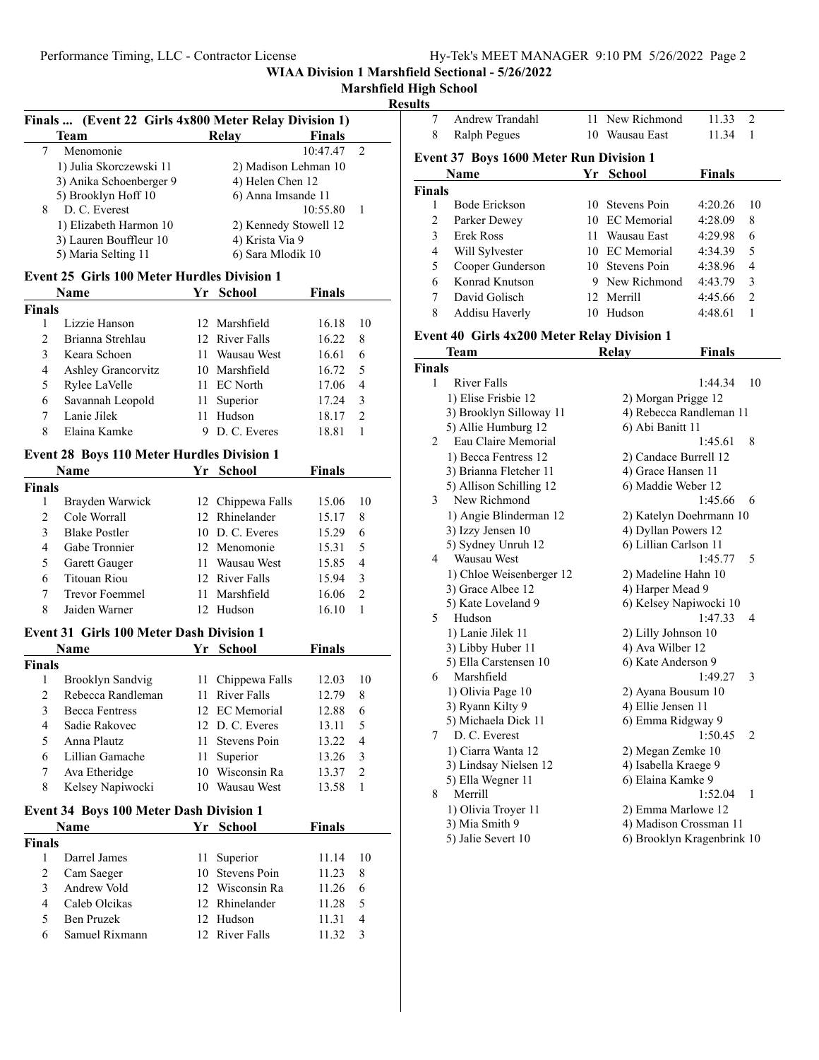# **Marshfield High School**

## **Results**

| Finals  (Event 22 Girls 4x800 Meter Relay Division 1) |                                                 |    |                       |               |                |  |
|-------------------------------------------------------|-------------------------------------------------|----|-----------------------|---------------|----------------|--|
|                                                       | <b>Team</b>                                     |    | Relay                 | <b>Finals</b> |                |  |
| 7                                                     | Menomonie                                       |    |                       | 10:47.47      | 2              |  |
|                                                       | 1) Julia Skorczewski 11                         |    | 2) Madison Lehman 10  |               |                |  |
|                                                       | 3) Anika Schoenberger 9                         |    | 4) Helen Chen 12      |               |                |  |
|                                                       | 5) Brooklyn Hoff 10                             |    | 6) Anna Imsande 11    |               |                |  |
| 8                                                     | D. C. Everest                                   |    |                       | 10:55.80      | 1              |  |
|                                                       | 1) Elizabeth Harmon 10                          |    | 2) Kennedy Stowell 12 |               |                |  |
|                                                       | 3) Lauren Bouffleur 10                          |    | 4) Krista Via 9       |               |                |  |
|                                                       | 5) Maria Selting 11                             |    | 6) Sara Mlodik 10     |               |                |  |
|                                                       | Event 25 Girls 100 Meter Hurdles Division 1     |    |                       |               |                |  |
|                                                       | Name                                            |    | Yr School             | <b>Finals</b> |                |  |
| <b>Finals</b>                                         |                                                 |    |                       |               |                |  |
| 1                                                     | Lizzie Hanson                                   |    | 12 Marshfield         | 16.18         | 10             |  |
| 2                                                     | Brianna Strehlau                                |    | 12 River Falls        | 16.22         | 8              |  |
| 3                                                     | Keara Schoen                                    |    | 11 Wausau West        | 16.61         | 6              |  |
| $\overline{4}$                                        | Ashley Grancorvitz                              |    | 10 Marshfield         | 16.72         | 5              |  |
| 5                                                     | Rylee LaVelle                                   |    | 11 EC North           | 17.06         | $\overline{4}$ |  |
| 6                                                     | Savannah Leopold                                |    | 11 Superior           | 17.24         | 3              |  |
| 7                                                     | Lanie Jilek                                     | 11 | Hudson                | 18.17         | $\overline{2}$ |  |
| 8                                                     | Elaina Kamke                                    |    | 9 D.C. Everes         | 18.81         | 1              |  |
|                                                       | Event 28 Boys 110 Meter Hurdles Division 1      |    |                       |               |                |  |
|                                                       | Name                                            |    | Yr School             | <b>Finals</b> |                |  |
| <b>Finals</b>                                         |                                                 |    |                       |               |                |  |
| 1                                                     | Brayden Warwick                                 |    | 12 Chippewa Falls     | 15.06         | 10             |  |
| 2                                                     | Cole Worrall                                    |    | 12 Rhinelander        | 15.17         | 8              |  |
| 3                                                     | <b>Blake Postler</b>                            |    | 10 D.C. Everes        | 15.29         | 6              |  |
| $\overline{4}$                                        | Gabe Tronnier                                   |    | 12 Menomonie          | 15.31         | 5              |  |
| 5                                                     | Garett Gauger                                   |    | 11 Wausau West        | 15.85         | 4              |  |
| 6                                                     | <b>Titouan Riou</b>                             |    | 12 River Falls        | 15.94         | 3              |  |
| 7                                                     | <b>Trevor Foemmel</b>                           |    | 11 Marshfield         | 16.06         | $\overline{2}$ |  |
| 8                                                     | Jaiden Warner                                   |    | 12 Hudson             | 16.10         | 1              |  |
|                                                       | <b>Event 31 Girls 100 Meter Dash Division 1</b> |    |                       |               |                |  |
|                                                       | Name                                            |    | Yr School             | <b>Finals</b> |                |  |
| <b>Finals</b>                                         |                                                 |    |                       |               |                |  |
| 1                                                     | Brooklyn Sandvig                                |    | 11 Chippewa Falls     | 12.03         | 10             |  |
| 2                                                     | Rebecca Randleman                               |    | 11 River Falls        | 12.79         | 8              |  |
| 3                                                     | Becca Fentress                                  |    | 12 EC Memorial        | 12.88         | 6              |  |
| 4                                                     | Sadie Rakovec                                   |    | 12 D.C. Everes        | 13.11         | 5              |  |
| 5                                                     | Anna Plautz                                     | 11 | Stevens Poin          | 13.22         | 4              |  |
| 6                                                     | Lillian Gamache                                 | 11 | Superior              | 13.26         | 3              |  |
| 7                                                     | Ava Etheridge                                   |    | 10 Wisconsin Ra       | 13.37         | $\overline{c}$ |  |
| 8                                                     | Kelsey Napiwocki                                |    | 10 Wausau West        | 13.58         | 1              |  |
|                                                       |                                                 |    |                       |               |                |  |
|                                                       | <b>Event 34 Boys 100 Meter Dash Division 1</b>  |    |                       |               |                |  |
|                                                       | Name                                            | Yr | <b>School</b>         | <b>Finals</b> |                |  |
| <b>Finals</b>                                         |                                                 |    |                       |               |                |  |
| 1                                                     | Darrel James                                    | 11 | Superior              | 11.14         | 10             |  |
| 2                                                     | Cam Saeger                                      |    | 10 Stevens Poin       | 11.23         | 8              |  |
| 3                                                     | Andrew Vold                                     |    | 12 Wisconsin Ra       | 11.26         | 6              |  |
| 4                                                     | Caleb Olcikas                                   |    | 12 Rhinelander        | 11.28         | 5              |  |
| 5                                                     | Ben Pruzek<br>Samuel Rixmann                    |    | 12 Hudson             | 11.31         | 4              |  |
| 6                                                     |                                                 |    | 12 River Falls        | 11.32         | 3              |  |

| 7             | Andrew Trandahl                                    |    | 11 New Richmond    | 11.33         | $\mathfrak{D}$ |
|---------------|----------------------------------------------------|----|--------------------|---------------|----------------|
| 8             | Ralph Pegues                                       | 10 | Wausau East        | 11.34         | 1              |
|               | <b>Event 37 Boys 1600 Meter Run Division 1</b>     |    |                    |               |                |
|               | <b>Name</b>                                        | Yr | School             | <b>Finals</b> |                |
| <b>Finals</b> |                                                    |    |                    |               |                |
|               | Bode Erickson                                      |    | 10 Stevens Poin    | 4:20.26       | 10             |
| 2             | Parker Dewey                                       | 10 | <b>EC</b> Memorial | 4:28.09       | 8              |
| 3             | Erek Ross                                          | 11 | Wausau East        | 4:29.98       | 6              |
| 4             | Will Sylvester                                     |    | 10 EC Memorial     | 4:34.39       | 5              |
| 5             | Cooper Gunderson                                   |    | 10 Stevens Poin    | 4:38.96       | 4              |
| 6             | Konrad Knutson                                     |    | 9 New Richmond     | 4:43.79       | $\mathcal{E}$  |
| 7             | David Golisch                                      |    | 12 Merrill         | 4:45.66       | $\mathfrak{D}$ |
| 8             | Addisu Haverly                                     | 10 | Hudson             | 4:48.61       | 1              |
|               | <b>Event 40 Girls 4x200 Meter Relay Division 1</b> |    |                    |               |                |
|               | <b>Team</b>                                        |    | Relav              | <b>Finals</b> |                |
| <b>Finals</b> |                                                    |    |                    |               |                |

|      | rvann                    | луста у<br>т піаіз         |    |
|------|--------------------------|----------------------------|----|
| nals |                          |                            |    |
| 1    | <b>River Falls</b>       | 1:44.34                    | 10 |
|      | 1) Elise Frisbie 12      | 2) Morgan Prigge 12        |    |
|      | 3) Brooklyn Silloway 11  | 4) Rebecca Randleman 11    |    |
|      | 5) Allie Humburg 12      | 6) Abi Banitt 11           |    |
| 2    | Eau Claire Memorial      | 1:45.61                    | 8  |
|      | 1) Becca Fentress 12     | 2) Candace Burrell 12      |    |
|      | 3) Brianna Fletcher 11   | 4) Grace Hansen 11         |    |
|      | 5) Allison Schilling 12  | 6) Maddie Weber 12         |    |
| 3    | New Richmond             | 1:45.66                    | 6  |
|      | 1) Angie Blinderman 12   | 2) Katelyn Doehrmann 10    |    |
|      | 3) Izzy Jensen 10        | 4) Dyllan Powers 12        |    |
|      | 5) Sydney Unruh 12       | 6) Lillian Carlson 11      |    |
| 4    | Wausau West              | 1:45.77                    | 5  |
|      | 1) Chloe Weisenberger 12 | 2) Madeline Hahn 10        |    |
|      | 3) Grace Albee 12        | 4) Harper Mead 9           |    |
|      | 5) Kate Loveland 9       | 6) Kelsey Napiwocki 10     |    |
| 5    | Hudson                   | 1:47.33                    | 4  |
|      | 1) Lanie Jilek 11        | 2) Lilly Johnson 10        |    |
|      | 3) Libby Huber 11        | 4) Ava Wilber 12           |    |
|      | 5) Ella Carstensen 10    | 6) Kate Anderson 9         |    |
| 6    | Marshfield               | 1:49.27                    | 3  |
|      | 1) Olivia Page 10        | 2) Ayana Bousum 10         |    |
|      | 3) Ryann Kilty 9         | 4) Ellie Jensen 11         |    |
|      | 5) Michaela Dick 11      | 6) Emma Ridgway 9          |    |
| 7    | D. C. Everest            | 1:50.45                    | 2  |
|      | 1) Ciarra Wanta 12       | 2) Megan Zemke 10          |    |
|      | 3) Lindsay Nielsen 12    | 4) Isabella Kraege 9       |    |
|      | 5) Ella Wegner 11        | 6) Elaina Kamke 9          |    |
| 8    | Merrill                  | 1:52.04                    | 1  |
|      | 1) Olivia Troyer 11      | 2) Emma Marlowe 12         |    |
|      | 3) Mia Smith 9           | 4) Madison Crossman 11     |    |
|      | 5) Jalie Severt 10       | 6) Brooklyn Kragenbrink 10 |    |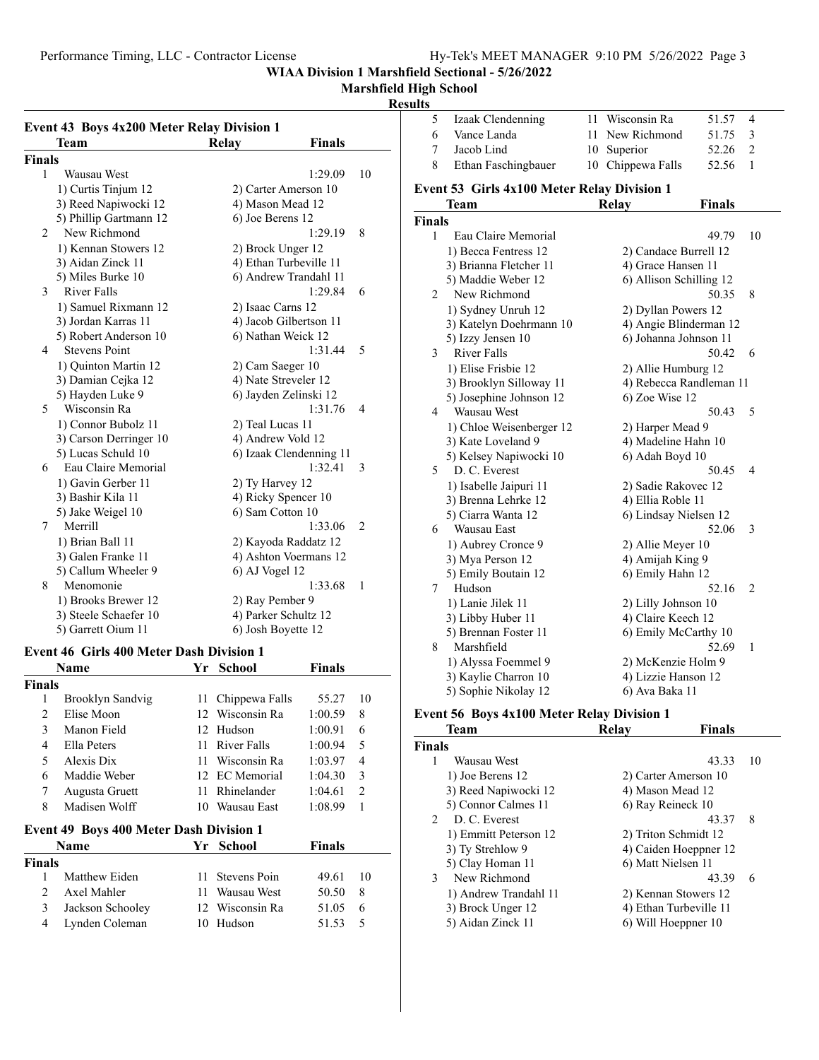**Marshfield High School**

#### **Event 43 Boys 4x200 Meter Relay Division 1** Team Relay Finals **Finals** 1 Wausau West 1:29.09 10 1) Curtis Tinjum 12 2) Carter Amerson 10 3) Reed Napiwocki 12 4) Mason Mead 12 5) Phillip Gartmann 12 6) Joe Berens 12 2 1:29.19 8 New Richmond 1) Kennan Stowers 12 2) Brock Unger 12 3) Aidan Zinck 11 4) Ethan Turbeville 11 5) Miles Burke 10 6) Andrew Trandahl 11 3 1:29.84 6 River Falls 1) Samuel Rixmann 12 2) Isaac Carns 12 3) Jordan Karras 11 4) Jacob Gilbertson 11 5) Robert Anderson 10 6) Nathan Weick 12 4 1:31.44 5 Stevens Point 1) Quinton Martin 12 2) Cam Saeger 10 3) Damian Cejka 12 4) Nate Streveler 12 5) Hayden Luke 9 6) Jayden Zelinski 12 5 1:31.76 4 Wisconsin Ra 1) Connor Bubolz 11 2) Teal Lucas 11 3) Carson Derringer 10 4) Andrew Vold 12 5) Lucas Schuld 10 6) Izaak Clendenning 11 6 1:32.41 3 Eau Claire Memorial 1) Gavin Gerber 11 2) Ty Harvey 12 3) Bashir Kila 11 4) Ricky Spencer 10 5) Jake Weigel 10 6) Sam Cotton 10 7 1:33.06 2 Merrill 1) Brian Ball 11 2) Kayoda Raddatz 12 3) Galen Franke 11 4) Ashton Voermans 12 5) Callum Wheeler 9 6) AJ Vogel 12 8 Menomonie 1:33.68 1 1) Brooks Brewer 12 2) Ray Pember 9 3) Steele Schaefer 10 4) Parker Schultz 12 5) Garrett Oium 11 6) Josh Boyette 12

#### **Event 46 Girls 400 Meter Dash Division 1**

|        | Name                                           | Yr  | <b>School</b>      | Finals  |    |
|--------|------------------------------------------------|-----|--------------------|---------|----|
| Finals |                                                |     |                    |         |    |
| 1      | Brooklyn Sandvig                               | 11  | Chippewa Falls     | 55.27   | 10 |
| 2      | Elise Moon                                     | 12  | Wisconsin Ra       | 1:00.59 | 8  |
| 3      | Manon Field                                    | 12  | Hudson             | 1:00.91 | 6  |
| 4      | Ella Peters                                    | 11  | River Falls        | 1:00.94 | 5  |
| 5      | Alexis Dix                                     | 11  | Wisconsin Ra       | 1:03.97 | 4  |
| 6      | Maddie Weber                                   | 12  | <b>EC</b> Memorial | 1:04.30 | 3  |
| 7      | Augusta Gruett                                 | 11  | Rhinelander        | 1:04.61 | 2  |
| 8      | Madisen Wolff                                  | 10  | Wausau East        | 1:08.99 | 1  |
|        | <b>Event 49 Boys 400 Meter Dash Division 1</b> |     |                    |         |    |
|        | Name                                           | Yr. | School             | Finals  |    |
| Finals |                                                |     |                    |         |    |
| 1      | Matthew Eiden                                  | 11  | Stevens Poin       | 49.61   | 10 |
| 2      | Axel Mahler                                    | 11  | Wausau West        | 50.50   | 8  |
| 3      | Jackson Schooley                               | 12  | Wisconsin Ra       | 51.05   | 6  |
| 4      | Lynden Coleman                                 | 10  | Hudson             | 51.53   | 5  |

| <b>Results</b>  |                                                    |    |                         |               |                |
|-----------------|----------------------------------------------------|----|-------------------------|---------------|----------------|
| 5               | Izaak Clendenning                                  | 11 | Wisconsin Ra            | 51.57         | 4              |
| 6               | Vance Landa                                        | 11 | New Richmond            | 51.75         | 3              |
| 7               | Jacob Lind                                         | 10 | Superior                | 52.26         | $\overline{2}$ |
| 8               | Ethan Faschingbauer                                |    | 10 Chippewa Falls       | 52.56         | 1              |
|                 | <b>Event 53 Girls 4x100 Meter Relay Division 1</b> |    |                         |               |                |
|                 | <b>Team</b>                                        |    | Relay                   | <b>Finals</b> |                |
| <b>Finals</b>   |                                                    |    |                         |               |                |
| 1               | Eau Claire Memorial                                |    |                         | 49.79         | 10             |
|                 | 1) Becca Fentress 12                               |    | 2) Candace Burrell 12   |               |                |
|                 | 3) Brianna Fletcher 11                             |    | 4) Grace Hansen 11      |               |                |
|                 | 5) Maddie Weber 12                                 |    | 6) Allison Schilling 12 |               |                |
| 2               | New Richmond                                       |    |                         | 50.35         | 8              |
|                 | 1) Sydney Unruh 12                                 |    | 2) Dyllan Powers 12     |               |                |
|                 | 3) Katelyn Doehrmann 10                            |    | 4) Angie Blinderman 12  |               |                |
|                 | 5) Izzy Jensen 10                                  |    | 6) Johanna Johnson 11   |               |                |
| $\mathfrak{Z}$  | <b>River Falls</b>                                 |    |                         | 50.42         | 6              |
|                 | 1) Elise Frisbie 12                                |    | 2) Allie Humburg 12     |               |                |
|                 | 3) Brooklyn Silloway 11                            |    | 4) Rebecca Randleman 11 |               |                |
|                 | 5) Josephine Johnson 12                            |    | 6) Zoe Wise 12          |               |                |
| $\overline{4}$  | <b>Wausau West</b>                                 |    |                         | 50.43         | 5              |
|                 | 1) Chloe Weisenberger 12                           |    | 2) Harper Mead 9        |               |                |
|                 | 3) Kate Loveland 9                                 |    | 4) Madeline Hahn 10     |               |                |
|                 | 5) Kelsey Napiwocki 10                             |    | 6) Adah Boyd 10         |               |                |
| 5.              | D. C. Everest                                      |    |                         | 50.45         | 4              |
|                 | 1) Isabelle Jaipuri 11                             |    | 2) Sadie Rakovec 12     |               |                |
|                 | 3) Brenna Lehrke 12                                |    | 4) Ellia Roble 11       |               |                |
|                 | 5) Ciarra Wanta 12                                 |    | 6) Lindsay Nielsen 12   |               |                |
| 6               | Wausau East                                        |    |                         | 52.06         | 3              |
|                 | 1) Aubrey Cronce 9                                 |    | 2) Allie Meyer 10       |               |                |
|                 | 3) Mya Person 12                                   |    | 4) Amijah King 9        |               |                |
|                 | 5) Emily Boutain 12                                |    | 6) Emily Hahn 12        |               |                |
| $7\overline{ }$ | Hudson                                             |    |                         | 52.16         | 2              |
|                 | 1) Lanie Jilek 11                                  |    | 2) Lilly Johnson 10     |               |                |
|                 | 3) Libby Huber 11                                  |    | 4) Claire Keech 12      |               |                |
|                 | 5) Brennan Foster 11                               |    | 6) Emily McCarthy 10    |               |                |
| 8               | Marshfield                                         |    |                         | 52.69         | $\mathbf{1}$   |
|                 | 1) Alyssa Foemmel 9                                |    | 2) McKenzie Holm 9      |               |                |
|                 | 3) Kaylie Charron 10                               |    | 4) Lizzie Hanson 12     |               |                |
|                 | 5) Sophie Nikolay 12                               |    | 6) Ava Baka 11          |               |                |
|                 |                                                    |    |                         |               |                |

#### **Event 56 Boys 4x100 Meter Relay Division 1**

| <b>Team</b>                  | Relav | <b>Finals</b>          |    |
|------------------------------|-------|------------------------|----|
| <b>Finals</b>                |       |                        |    |
| 1<br>Wausau West             |       | 43.33                  | 10 |
| 1) Joe Berens 12             |       | 2) Carter Amerson 10   |    |
| 3) Reed Napiwocki 12         |       | 4) Mason Mead 12       |    |
| 5) Connor Calmes 11          |       | 6) Ray Reineck 10      |    |
| D. C. Everest<br>$2^{\circ}$ |       | 43.37                  | 8  |
| 1) Emmitt Peterson 12        |       | 2) Triton Schmidt 12   |    |
| 3) Ty Strehlow 9             |       | 4) Caiden Hoeppner 12  |    |
| 5) Clay Homan 11             |       | 6) Matt Nielsen 11     |    |
| New Richmond<br>3            |       | 43.39                  | 6  |
| 1) Andrew Trandahl 11        |       | 2) Kennan Stowers 12   |    |
| 3) Brock Unger 12            |       | 4) Ethan Turbeville 11 |    |
| 5) Aidan Zinck 11            |       | 6) Will Hoeppner 10    |    |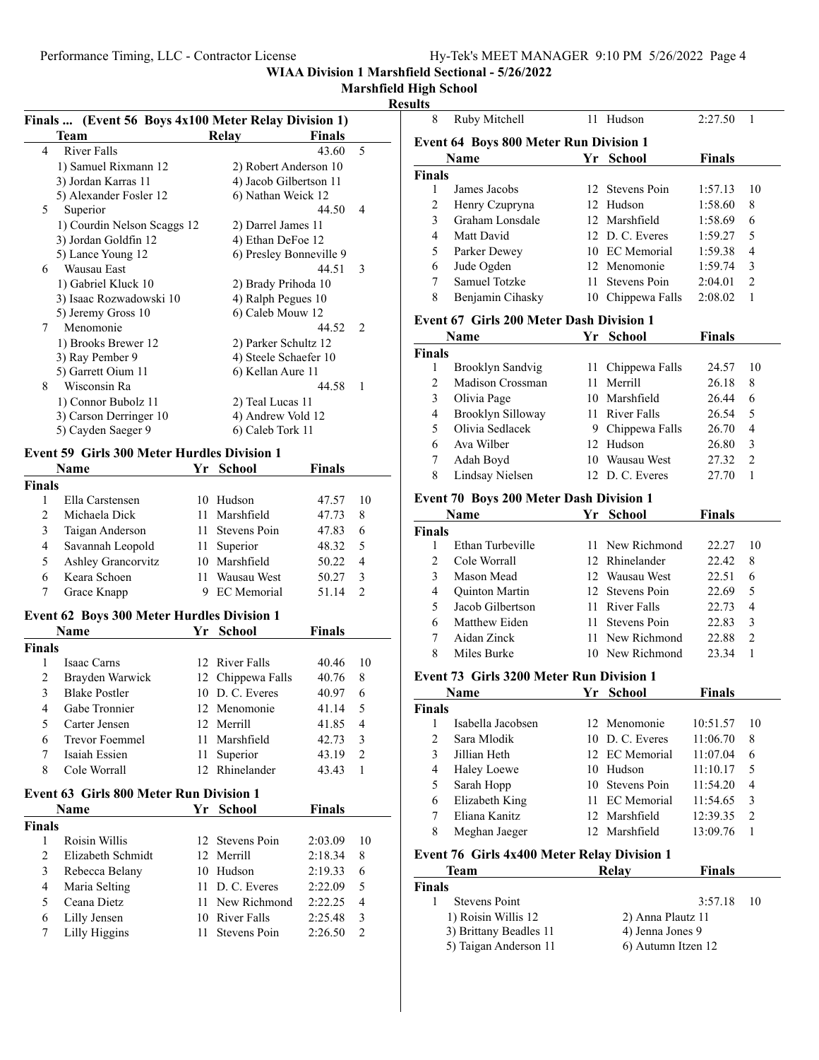# **Marshfield High School**

## **Resu**

| Finals  (Event 56 Boys 4x100 Meter Relay Division 1) |                                                    |    |                         |               |    |
|------------------------------------------------------|----------------------------------------------------|----|-------------------------|---------------|----|
|                                                      | <b>Team</b>                                        |    | Relay                   | <b>Finals</b> |    |
| 4                                                    | <b>River Falls</b>                                 |    |                         | 43.60         | 5  |
|                                                      | 1) Samuel Rixmann 12                               |    | 2) Robert Anderson 10   |               |    |
|                                                      | 3) Jordan Karras 11                                |    | 4) Jacob Gilbertson 11  |               |    |
|                                                      | 5) Alexander Fosler 12                             |    | 6) Nathan Weick 12      |               |    |
| 5                                                    | Superior                                           |    |                         | 44.50         | 4  |
|                                                      | 1) Courdin Nelson Scaggs 12                        |    | 2) Darrel James 11      |               |    |
|                                                      | 3) Jordan Goldfin 12                               |    | 4) Ethan DeFoe 12       |               |    |
|                                                      | 5) Lance Young 12                                  |    | 6) Presley Bonneville 9 |               |    |
| 6                                                    | Wausau East                                        |    |                         | 44.51         | 3  |
|                                                      | 1) Gabriel Kluck 10                                |    | 2) Brady Prihoda 10     |               |    |
|                                                      | 3) Isaac Rozwadowski 10                            |    | 4) Ralph Pegues 10      |               |    |
|                                                      | 5) Jeremy Gross 10                                 |    | 6) Caleb Mouw 12        |               |    |
|                                                      | Menomonie<br>7                                     |    |                         | 44.52         | 2  |
|                                                      | 1) Brooks Brewer 12                                |    | 2) Parker Schultz 12    |               |    |
|                                                      | 3) Ray Pember 9                                    |    | 4) Steele Schaefer 10   |               |    |
|                                                      | 5) Garrett Oium 11                                 |    | 6) Kellan Aure 11       |               |    |
| 8                                                    | Wisconsin Ra                                       |    |                         | 44.58         | 1  |
|                                                      | 1) Connor Bubolz 11                                |    | 2) Teal Lucas 11        |               |    |
|                                                      | 3) Carson Derringer 10                             |    | 4) Andrew Vold 12       |               |    |
|                                                      | 5) Cayden Saeger 9                                 |    | 6) Caleb Tork 11        |               |    |
|                                                      | <b>Event 59 Girls 300 Meter Hurdles Division 1</b> |    |                         |               |    |
|                                                      | Name                                               | Yr | <b>School</b>           | Finals        |    |
| <b>Finals</b>                                        |                                                    |    |                         |               |    |
| 1                                                    | Ella Carstensen                                    |    | 10 Hudson               | 47.57         | 10 |
| 2                                                    | Michaela Dick                                      | 11 | Marshfield              | 47.73         | 8  |
| 3                                                    | Taigan Anderson                                    | 11 | Stevens Poin            | 47.83         | 6  |
| 4                                                    | Savannah Leopold                                   | 11 | Superior                | 48.32         | 5  |
| 5                                                    | Ashley Grancorvitz                                 |    | 10 Marshfield           | 50.22         | 4  |
| 6                                                    | Keara Schoen                                       | 11 | Wausau West             | 50.27         | 3  |
| 7                                                    |                                                    | 9  | <b>EC</b> Memorial      |               | 2  |
|                                                      | Grace Knapp                                        |    |                         | 51.14         |    |
|                                                      | <b>Event 62 Boys 300 Meter Hurdles Division 1</b>  |    |                         |               |    |
|                                                      | Name                                               |    | Yr School               | Finals        |    |
| <b>Finals</b>                                        |                                                    |    |                         |               |    |
| 1                                                    | Isaac Carns                                        |    | 12 River Falls          | 40.46         | 10 |
| 2                                                    | Brayden Warwick                                    |    | 12 Chippewa Falls       | 40.76         | 8  |
| 3                                                    | <b>Blake Postler</b>                               |    | 10 D.C. Everes          | 40.97         | 6  |
| 4                                                    | Gabe Tronnier                                      |    | 12 Menomonie            | 41.14         | 5  |
| 5                                                    | Carter Jensen                                      |    | 12 Merrill              | 41.85         | 4  |
| 6                                                    | Trevor Foemmel                                     | 11 | Marshfield              | 42.73         | 3  |
| 7                                                    | Isaiah Essien                                      | 11 | Superior                | 43.19         | 2  |
| 8                                                    | Cole Worrall                                       |    | 12 Rhinelander          | 43.43         | 1  |
|                                                      |                                                    |    |                         |               |    |
|                                                      | <b>Event 63 Girls 800 Meter Run Division 1</b>     |    |                         |               |    |
|                                                      | Name                                               |    | Yr School               | <b>Finals</b> |    |
| <b>Finals</b>                                        |                                                    |    |                         |               |    |
| 1                                                    | Roisin Willis                                      | 12 | Stevens Poin            | 2:03.09       | 10 |
| 2                                                    | Elizabeth Schmidt                                  | 12 | Merrill                 | 2:18.34       | 8  |
| 3                                                    | Rebecca Belany                                     | 10 | Hudson                  | 2:19.33       | 6  |
| 4                                                    | Maria Selting                                      | 11 | D. C. Everes            | 2:22.09       | 5  |
| 5                                                    | Ceana Dietz                                        | 11 | New Richmond            | 2:22.25       | 4  |
| 6                                                    | Lilly Jensen                                       |    | 10 River Falls          | 2:25.48       | 3  |
| 7                                                    | Lilly Higgins                                      | 11 | Stevens Poin            | 2:26.50       | 2  |
|                                                      |                                                    |    |                         |               |    |

| ults                |                                                    |      |                                       |                      |                |
|---------------------|----------------------------------------------------|------|---------------------------------------|----------------------|----------------|
| 8                   | Ruby Mitchell                                      |      | 11 Hudson                             | 2:27.50              | 1              |
|                     | Event 64 Boys 800 Meter Run Division 1             |      |                                       |                      |                |
|                     | Name                                               |      | Yr School                             | <b>Finals</b>        |                |
| <b>Finals</b>       |                                                    |      |                                       |                      |                |
| 1                   | James Jacobs                                       |      | 12 Stevens Poin                       | 1:57.13              | 10             |
| $\overline{c}$      | Henry Czupryna                                     |      | 12 Hudson                             | 1:58.60              | 8              |
| 3                   | Graham Lonsdale                                    |      | 12 Marshfield                         | 1:58.69              | 6              |
| $\overline{4}$      | Matt David                                         |      | 12 D. C. Everes                       | 1:59.27              | 5              |
| 5                   | Parker Dewey                                       |      | 10 EC Memorial                        | 1:59.38              | 4              |
| 6                   | Jude Ogden                                         |      | 12 Menomonie                          | 1:59.74              | 3              |
| 7                   | <b>Samuel Totzke</b>                               | 11 - | Stevens Poin                          | 2:04.01              | $\overline{2}$ |
| 8                   | Benjamin Cihasky                                   |      | 10 Chippewa Falls                     | 2:08.02              | 1              |
|                     | <b>Event 67 Girls 200 Meter Dash Division 1</b>    |      |                                       |                      |                |
|                     | <b>Name</b>                                        |      | Yr School                             | <b>Finals</b>        |                |
| <b>Finals</b>       |                                                    |      |                                       |                      |                |
| 1                   | Brooklyn Sandvig                                   | 11 - | Chippewa Falls                        | 24.57                | 10             |
| $\overline{c}$      | Madison Crossman                                   | 11 - | Merrill                               | 26.18                | 8              |
| 3                   | Olivia Page                                        |      | 10 Marshfield                         | 26.44                | 6              |
| 4                   | Brooklyn Silloway                                  |      | 11 River Falls                        | 26.54                | 5              |
| 5                   | Olivia Sedlacek                                    |      | 9 Chippewa Falls                      | 26.70                | $\overline{4}$ |
| 6                   | Ava Wilber                                         |      | 12 Hudson                             | 26.80                | 3              |
| 7                   | Adah Boyd                                          |      | 10 Wausau West                        | 27.32                | 2              |
| 8                   | Lindsay Nielsen                                    |      | 12 D.C. Everes                        | 27.70                | 1              |
|                     | Event 70 Boys 200 Meter Dash Division 1            |      |                                       |                      |                |
|                     | <b>Name</b>                                        |      | Yr School                             | Finals               |                |
| <b>Finals</b>       |                                                    |      |                                       |                      |                |
| 1                   | Ethan Turbeville                                   | 11.  | New Richmond                          | 22.27                | 10             |
| 2                   | Cole Worrall                                       |      | 12 Rhinelander                        | 22.42                | 8              |
| 3                   | Mason Mead                                         |      | 12 Wausau West                        | 22.51                | 6              |
| 4                   | Quinton Martin                                     |      | 12 Stevens Poin                       | 22.69                | 5              |
| 5                   | Jacob Gilbertson                                   |      | 11 River Falls                        | 22.73                | 4              |
| 6                   | Matthew Eiden                                      | 11.  | Stevens Poin                          | 22.83                | 3              |
| 7                   | Aidan Zinck                                        | 11.  | New Richmond                          | 22.88                | 2              |
| 8                   | Miles Burke                                        |      | 10 New Richmond                       | 23.34                | 1              |
|                     | Event 73 Girls 3200 Meter Run Division 1           |      |                                       |                      |                |
|                     | Name                                               | Yr   | School                                | <b>Finals</b>        |                |
| <b>Finals</b>       |                                                    |      |                                       |                      |                |
| 1<br>$\overline{c}$ | Isabella Jacobsen                                  |      | 12 Menomonie<br>10 D. C. Everes       | 10:51.57             | 10             |
|                     | Sara Mlodik                                        |      | 12 EC Memorial                        | 11:06.70             | 8              |
| 3                   | Jillian Heth                                       |      |                                       | 11:07.04             | 6              |
| 4<br>5              | <b>Haley Loewe</b><br>Sarah Hopp                   |      | 10 Hudson<br>10 Stevens Poin          | 11:10.17<br>11:54.20 | 5<br>4         |
| 6                   | Elizabeth King                                     |      | 11 EC Memorial                        | 11:54.65             | 3              |
| 7                   | Eliana Kanitz                                      |      | 12 Marshfield                         | 12:39.35             | $\overline{2}$ |
| 8                   | Meghan Jaeger                                      |      | 12 Marshfield                         | 13:09.76             | 1              |
|                     |                                                    |      |                                       |                      |                |
|                     | <b>Event 76 Girls 4x400 Meter Relay Division 1</b> |      |                                       |                      |                |
|                     | Team                                               |      | Relay                                 | <b>Finals</b>        |                |
| <b>Finals</b>       |                                                    |      |                                       |                      |                |
| 1                   | <b>Stevens Point</b>                               |      |                                       | 3:57.18              | 10             |
|                     | 1) Roisin Willis 12<br>3) Brittany Beadles 11      |      | 2) Anna Plautz 11<br>4) Jenna Jones 9 |                      |                |
|                     | 5) Taigan Anderson 11                              |      | 6) Autumn Itzen 12                    |                      |                |
|                     |                                                    |      |                                       |                      |                |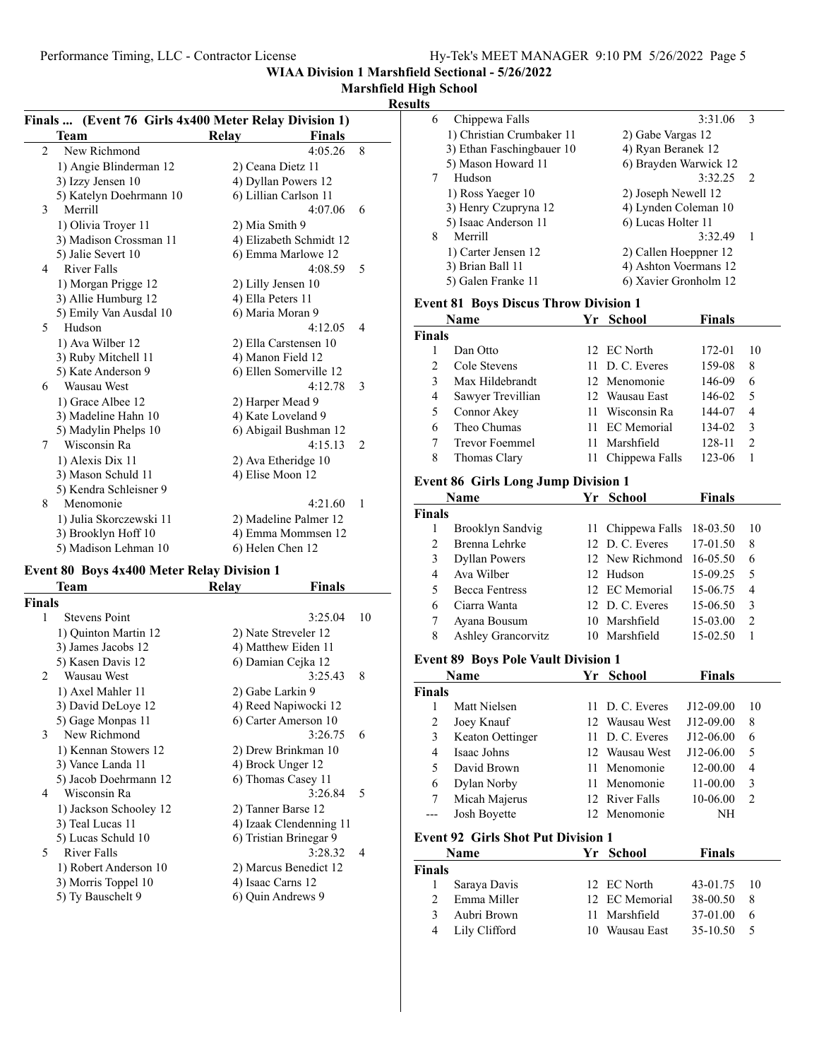**WIAA Division 1 Marshfield Sectional - 5/26/2022**

## **Marshfield High School**

## **Results**

|                | Finals  (Event 76 Girls 4x400 Meter Relay Division 1) |                         |               |                |
|----------------|-------------------------------------------------------|-------------------------|---------------|----------------|
|                | Team                                                  | Relay                   | <b>Finals</b> |                |
| $\overline{c}$ | New Richmond                                          |                         | 4:05.26       | 8              |
|                | 1) Angie Blinderman 12                                | 2) Ceana Dietz 11       |               |                |
|                | 3) Izzy Jensen 10                                     | 4) Dyllan Powers 12     |               |                |
|                | 5) Katelyn Doehrmann 10                               | 6) Lillian Carlson 11   |               |                |
| 3              | Merrill                                               |                         | 4:07.06       | 6              |
|                | 1) Olivia Troyer 11                                   | 2) Mia Smith 9          |               |                |
|                | 3) Madison Crossman 11                                | 4) Elizabeth Schmidt 12 |               |                |
|                | 5) Jalie Severt 10                                    | 6) Emma Marlowe 12      |               |                |
| 4              | <b>River Falls</b>                                    |                         | 4:08.59       | 5              |
|                | 1) Morgan Prigge 12                                   | 2) Lilly Jensen 10      |               |                |
|                | 3) Allie Humburg 12                                   | 4) Ella Peters 11       |               |                |
|                | 5) Emily Van Ausdal 10                                | 6) Maria Moran 9        |               |                |
| 5              | Hudson                                                |                         | 4:12.05       | 4              |
|                | 1) Ava Wilber 12                                      | 2) Ella Carstensen 10   |               |                |
|                | 3) Ruby Mitchell 11                                   | 4) Manon Field 12       |               |                |
|                | 5) Kate Anderson 9                                    | 6) Ellen Somerville 12  |               |                |
| 6              | <b>Wausau West</b>                                    |                         | 4:12.78       | 3              |
|                | 1) Grace Albee 12                                     | 2) Harper Mead 9        |               |                |
|                | 3) Madeline Hahn 10                                   | 4) Kate Loveland 9      |               |                |
|                | 5) Madylin Phelps 10                                  | 6) Abigail Bushman 12   |               |                |
| 7              | Wisconsin Ra                                          |                         | 4:15.13       | $\overline{2}$ |
|                | 1) Alexis Dix 11                                      | 2) Ava Etheridge 10     |               |                |
|                | 3) Mason Schuld 11                                    | 4) Elise Moon 12        |               |                |
|                | 5) Kendra Schleisner 9                                |                         |               |                |
| 8              | Menomonie                                             |                         | 4:21.60       | 1              |
|                | 1) Julia Skorczewski 11                               | 2) Madeline Palmer 12   |               |                |
|                | 3) Brooklyn Hoff 10                                   | 4) Emma Mommsen 12      |               |                |
|                | 5) Madison Lehman 10                                  | 6) Helen Chen 12        |               |                |

### **Event 80 Boys 4x400 Meter Relay Division 1**

| Team                   | Relay | Finals  |                                                                                                                                                                                                                                                                                                                                                       |
|------------------------|-------|---------|-------------------------------------------------------------------------------------------------------------------------------------------------------------------------------------------------------------------------------------------------------------------------------------------------------------------------------------------------------|
| <b>Finals</b>          |       |         |                                                                                                                                                                                                                                                                                                                                                       |
| <b>Stevens Point</b>   |       | 3:25.04 | 10                                                                                                                                                                                                                                                                                                                                                    |
| 1) Quinton Martin 12   |       |         |                                                                                                                                                                                                                                                                                                                                                       |
| 3) James Jacobs 12     |       |         |                                                                                                                                                                                                                                                                                                                                                       |
| 5) Kasen Davis 12      |       |         |                                                                                                                                                                                                                                                                                                                                                       |
| Wausau West            |       | 3:25.43 | 8                                                                                                                                                                                                                                                                                                                                                     |
| 1) Axel Mahler 11      |       |         |                                                                                                                                                                                                                                                                                                                                                       |
| 3) David DeLoye 12     |       |         |                                                                                                                                                                                                                                                                                                                                                       |
| 5) Gage Monpas 11      |       |         |                                                                                                                                                                                                                                                                                                                                                       |
| 3 New Richmond         |       | 3:26.75 | 6                                                                                                                                                                                                                                                                                                                                                     |
| 1) Kennan Stowers 12   |       |         |                                                                                                                                                                                                                                                                                                                                                       |
| 3) Vance Landa 11      |       |         |                                                                                                                                                                                                                                                                                                                                                       |
| 5) Jacob Doehrmann 12  |       |         |                                                                                                                                                                                                                                                                                                                                                       |
| 4 Wisconsin Ra         |       | 3:26.84 | 5                                                                                                                                                                                                                                                                                                                                                     |
| 1) Jackson Schooley 12 |       |         |                                                                                                                                                                                                                                                                                                                                                       |
| 3) Teal Lucas 11       |       |         |                                                                                                                                                                                                                                                                                                                                                       |
| 5) Lucas Schuld 10     |       |         |                                                                                                                                                                                                                                                                                                                                                       |
| 5 River Falls          |       | 3:28.32 | $\overline{4}$                                                                                                                                                                                                                                                                                                                                        |
| 1) Robert Anderson 10  |       |         |                                                                                                                                                                                                                                                                                                                                                       |
| 3) Morris Toppel 10    |       |         |                                                                                                                                                                                                                                                                                                                                                       |
| 5) Ty Bauschelt 9      |       |         |                                                                                                                                                                                                                                                                                                                                                       |
|                        |       |         |                                                                                                                                                                                                                                                                                                                                                       |
|                        |       |         | 2) Nate Streveler 12<br>4) Matthew Eiden 11<br>6) Damian Cejka 12<br>2) Gabe Larkin 9<br>4) Reed Napiwocki 12<br>6) Carter Amerson 10<br>2) Drew Brinkman 10<br>4) Brock Unger 12<br>6) Thomas Casey 11<br>2) Tanner Barse 12<br>4) Izaak Clendenning 11<br>6) Tristian Brinegar 9<br>2) Marcus Benedict 12<br>4) Isaac Carns 12<br>6) Quin Andrews 9 |

| دنا |                           |                       |                |
|-----|---------------------------|-----------------------|----------------|
| 6   | Chippewa Falls            | 3:31.06               | $\mathcal{R}$  |
|     | 1) Christian Crumbaker 11 | 2) Gabe Vargas 12     |                |
|     | 3) Ethan Faschingbauer 10 | 4) Ryan Beranek 12    |                |
|     | 5) Mason Howard 11        | 6) Brayden Warwick 12 |                |
| 7   | Hudson                    | 3:32.25               | $\overline{2}$ |
|     | 1) Ross Yaeger 10         | 2) Joseph Newell 12   |                |
|     | 3) Henry Czupryna 12      | 4) Lynden Coleman 10  |                |
|     | 5) Isaac Anderson 11      | 6) Lucas Holter 11    |                |
| 8   | Merrill                   | 3:32.49               | 1              |
|     | 1) Carter Jensen 12       | 2) Callen Hoeppner 12 |                |
|     | 3) Brian Ball 11          | 4) Ashton Voermans 12 |                |
|     | 5) Galen Franke 11        | 6) Xavier Gronholm 12 |                |
|     |                           |                       |                |

## **Event 81 Boys Discus Throw Division 1**

| Name   |               |                   | Yr School         | <b>Finals</b> |               |
|--------|---------------|-------------------|-------------------|---------------|---------------|
| Finals |               |                   |                   |               |               |
|        |               | Dan Otto          | 12 EC North       | 172-01        | 10            |
|        | $\mathcal{D}$ | Cole Stevens      | 11 D. C. Everes   | 159-08        | 8             |
|        | $\mathbf{3}$  | Max Hildebrandt   | 12 Menomonie      | 146-09        | 6             |
|        | 4             | Sawyer Trevillian | 12 Wausau East    | 146-02        | 5             |
|        | 5             | Connor Akey       | 11 Wisconsin Ra   | 144-07        | 4             |
|        | 6             | Theo Chumas       | 11 EC Memorial    | 134-02        | $\mathcal{F}$ |
|        |               | Trevor Foemmel    | 11 Marshfield     | 128-11        | 2             |
|        | 8             | Thomas Clary      | 11 Chippewa Falls | 123-06        |               |
|        |               | ________          |                   |               |               |

### **Event 86 Girls Long Jump Division 1**

| Name           |                                            |    | School             | <b>Finals</b> |                |  |  |  |
|----------------|--------------------------------------------|----|--------------------|---------------|----------------|--|--|--|
| Finals         |                                            |    |                    |               |                |  |  |  |
| 1              | Brooklyn Sandvig                           | 11 | Chippewa Falls     | 18-03.50      | 10             |  |  |  |
| $\overline{c}$ | Brenna Lehrke                              | 12 | D. C. Everes       | 17-01.50      | 8              |  |  |  |
| 3              | <b>Dyllan Powers</b>                       | 12 | New Richmond       | 16-05.50      | 6              |  |  |  |
| 4              | Ava Wilber                                 | 12 | Hudson             | 15-09.25      | 5              |  |  |  |
| 5              | <b>Becca Fentress</b>                      | 12 | <b>EC</b> Memorial | 15-06.75      | 4              |  |  |  |
| 6              | Ciarra Wanta                               | 12 | D. C. Everes       | 15-06.50      | 3              |  |  |  |
| 7              | Ayana Bousum                               | 10 | Marshfield         | 15-03.00      | 2              |  |  |  |
| 8              | <b>Ashley Grancorvitz</b>                  |    | 10 Marshfield      | 15-02.50      | 1              |  |  |  |
|                | <b>Event 89 Boys Pole Vault Division 1</b> |    |                    |               |                |  |  |  |
|                | Name                                       | Yr | <b>School</b>      | <b>Finals</b> |                |  |  |  |
| Finals         |                                            |    |                    |               |                |  |  |  |
| 1              | Matt Nielsen                               | 11 | D. C. Everes       | J12-09.00     | 10             |  |  |  |
| $\overline{c}$ | Joey Knauf                                 | 12 | Wausau West        | J12-09.00     | 8              |  |  |  |
| 3              | Keaton Oettinger                           | 11 | D. C. Everes       | J12-06.00     | 6              |  |  |  |
| 4              | Isaac Johns                                | 12 | Wausau West        | J12-06.00     | 5              |  |  |  |
| 5              | David Brown                                | 11 | Menomonie          | 12-00.00      | 4              |  |  |  |
| 6              | Dylan Norby                                | 11 | Menomonie          | 11-00.00      | 3              |  |  |  |
| 7              | Micah Majerus                              | 12 | River Falls        | 10-06.00      | $\overline{c}$ |  |  |  |
|                | Josh Boyette                               | 12 | Menomonie          | NH            |                |  |  |  |
|                | <b>Event 92 Girls Shot Put Division 1</b>  |    |                    |               |                |  |  |  |
| Name           |                                            |    | Yr School          | Finals        |                |  |  |  |

| <b>Finals</b> |                 |  |                |               |     |  |  |
|---------------|-----------------|--|----------------|---------------|-----|--|--|
|               | 1 Saraya Davis  |  | 12 EC North    | $43-01.75$ 10 |     |  |  |
|               | 2 Emma Miller   |  | 12 EC Memorial | 38-00.50      | - 8 |  |  |
|               | 3 Aubri Brown   |  | 11 Marshfield  | 37-01.00      | - 6 |  |  |
|               | 4 Lily Clifford |  | 10 Wausau East | $35-10.50$    | -5  |  |  |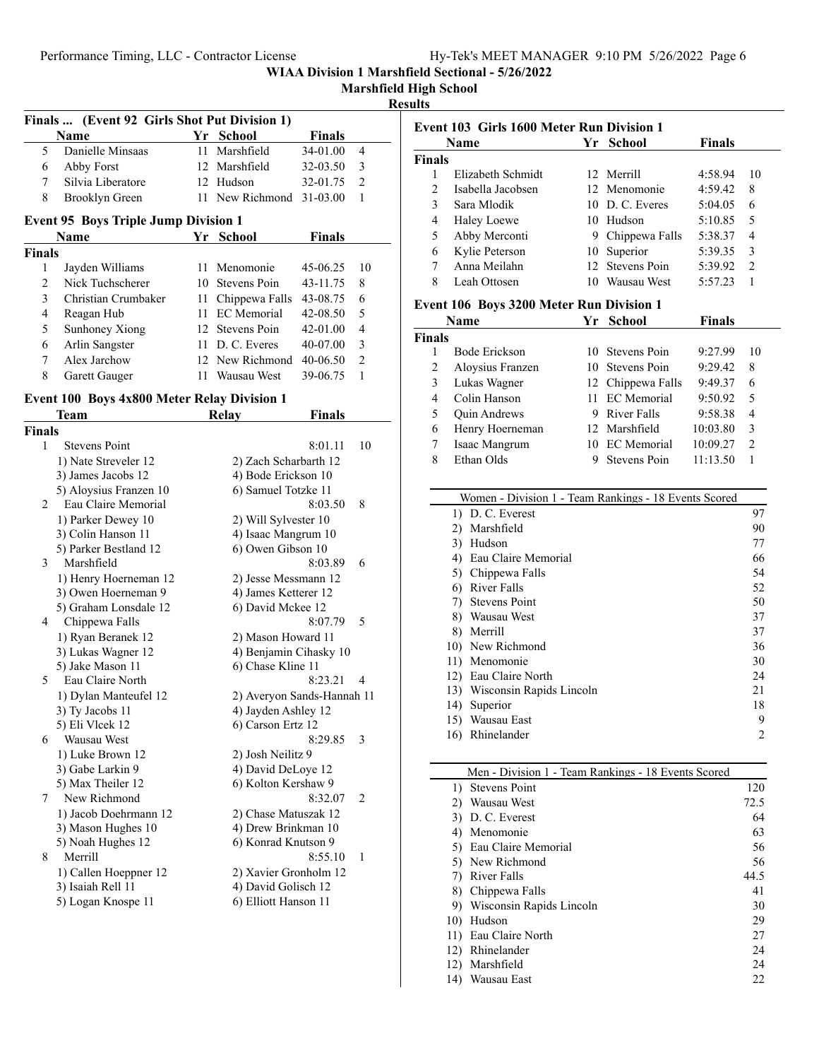# Performance Timing, LLC - Contractor License

**WIAA Division 1 Marshfield Sectional - 5/26/2022**

|  | Marshfield High School |  |
|--|------------------------|--|
|  |                        |  |

### **Results**

|                | Finals  (Event 92 Girls Shot Put Division 1)       |                      |                            |               |                |
|----------------|----------------------------------------------------|----------------------|----------------------------|---------------|----------------|
|                | Name                                               | Yr                   | <b>School</b>              | <b>Finals</b> |                |
| 5              | Danielle Minsaas                                   | 11                   | Marshfield                 | 34-01.00      | 4              |
| 6              | Abby Forst                                         | 12                   | Marshfield                 | 32-03.50      | 3              |
| 7              | Silvia Liberatore                                  |                      | 12 Hudson                  | 32-01.75      | $\mathfrak{2}$ |
| 8              | <b>Brooklyn Green</b>                              | 11 -                 | New Richmond               | 31-03.00      | 1              |
|                | <b>Event 95 Boys Triple Jump Division 1</b>        |                      |                            |               |                |
|                | Name                                               |                      | Yr School                  | <b>Finals</b> |                |
| Finals         |                                                    |                      |                            |               |                |
| 1              | Jayden Williams                                    | 11                   | Menomonie                  | 45-06.25      | 10             |
| $\overline{c}$ | Nick Tuchscherer                                   | 10                   | <b>Stevens Poin</b>        | 43-11.75      | 8              |
| 3              | Christian Crumbaker                                | 11                   | Chippewa Falls             | 43-08.75      | 6              |
| 4              | Reagan Hub                                         | 11                   | <b>EC</b> Memorial         | 42-08.50      | 5              |
| 5              | Sunhoney Xiong                                     |                      | 12 Stevens Poin            | 42-01.00      | 4              |
| 6              | Arlin Sangster                                     | 11                   | D. C. Everes               | 40-07.00      | 3              |
| 7              | Alex Jarchow                                       | 12                   | New Richmond               | 40-06.50      | $\overline{2}$ |
| 8              | Garett Gauger                                      | 11                   | Wausau West                | 39-06.75      | 1              |
|                | <b>Event 100 Boys 4x800 Meter Relay Division 1</b> |                      |                            |               |                |
|                | Team                                               |                      | <b>Relay</b>               | Finals        |                |
| <b>Finals</b>  |                                                    |                      |                            |               |                |
| 1              | <b>Stevens Point</b>                               |                      |                            | 8:01.11       | 10             |
|                | 1) Nate Streveler 12                               |                      | 2) Zach Scharbarth 12      |               |                |
|                | 3) James Jacobs 12                                 |                      | 4) Bode Erickson 10        |               |                |
|                | 5) Aloysius Franzen 10                             |                      | 6) Samuel Totzke 11        |               |                |
| 2              | Eau Claire Memorial                                |                      |                            | 8:03.50       | 8              |
|                | 1) Parker Dewey 10                                 |                      | 2) Will Sylvester 10       |               |                |
|                | 3) Colin Hanson 11                                 |                      | 4) Isaac Mangrum 10        |               |                |
|                | 5) Parker Bestland 12                              |                      | 6) Owen Gibson 10          |               |                |
| 3              | Marshfield                                         |                      |                            | 8:03.89       | 6              |
|                | 1) Henry Hoerneman 12                              |                      | 2) Jesse Messmann 12       |               |                |
|                | 3) Owen Hoerneman 9                                | 4) James Ketterer 12 |                            |               |                |
|                | 5) Graham Lonsdale 12                              |                      | 6) David Mckee 12          |               |                |
| 4              | Chippewa Falls                                     |                      |                            | 8:07.79       | 5              |
|                | 1) Ryan Beranek 12                                 |                      | 2) Mason Howard 11         |               |                |
|                | 3) Lukas Wagner 12                                 |                      | 4) Benjamin Cihasky 10     |               |                |
|                | 5) Jake Mason 11                                   |                      | 6) Chase Kline 11          |               |                |
| 5              | Eau Claire North                                   |                      |                            | 8:23.21       | 4              |
|                | 1) Dylan Manteufel 12                              |                      | 2) Averyon Sands-Hannah 11 |               |                |
|                | 3) Ty Jacobs 11                                    |                      | 4) Jayden Ashley 12        |               |                |
|                | 5) Eli Vlcek 12                                    |                      | 6) Carson Ertz 12          |               |                |
| 6              | Wausau West                                        |                      |                            | 8:29.85       | 3              |
|                | 1) Luke Brown 12                                   |                      | 2) Josh Neilitz 9          |               |                |
|                | 3) Gabe Larkin 9                                   |                      | 4) David DeLoye 12         |               |                |
|                | 5) Max Theiler 12                                  |                      | 6) Kolton Kershaw 9        |               |                |
| 7              | New Richmond                                       |                      |                            | 8:32.07       | 2              |
|                | 1) Jacob Doehrmann 12                              |                      | 2) Chase Matuszak 12       |               |                |
|                | 3) Mason Hughes 10                                 |                      | 4) Drew Brinkman 10        |               |                |
|                | 5) Noah Hughes 12                                  |                      | 6) Konrad Knutson 9        |               |                |
| 8              | Merrill                                            |                      |                            | 8:55.10       | 1              |
|                | 1) Callen Hoeppner 12                              |                      | 2) Xavier Gronholm 12      |               |                |
|                | 3) Isaiah Rell 11                                  |                      | 4) David Golisch 12        |               |                |
|                | 5) Logan Knospe 11                                 |                      | 6) Elliott Hanson 11       |               |                |
|                |                                                    |                      |                            |               |                |

| Event 103 Girls 1600 Meter Run Division 1 |                                                       |                                          |              |                   |          |                |
|-------------------------------------------|-------------------------------------------------------|------------------------------------------|--------------|-------------------|----------|----------------|
|                                           | <b>Finals</b><br>Yr School<br><b>Name</b>             |                                          |              |                   |          |                |
| <b>Finals</b>                             |                                                       |                                          |              |                   |          |                |
| 1                                         | Elizabeth Schmidt                                     |                                          |              | 12 Merrill        | 4:58.94  | 10             |
| $\overline{2}$                            |                                                       | Isabella Jacobsen                        |              | 12 Menomonie      | 4:59.42  | 8              |
| 3                                         |                                                       | Sara Mlodik                              |              | 10 D. C. Everes   | 5:04.05  | 6              |
| 4                                         |                                                       | Haley Loewe                              |              | 10 Hudson         | 5:10.85  | 5              |
| 5                                         |                                                       | Abby Merconti                            |              | 9 Chippewa Falls  | 5:38.37  | 4              |
| 6                                         |                                                       | Kylie Peterson                           |              | 10 Superior       | 5:39.35  | 3              |
| 7                                         |                                                       | Anna Meilahn                             |              | 12 Stevens Poin   | 5:39.92  | $\overline{2}$ |
| 8                                         |                                                       | Leah Ottosen                             |              | 10 Wausau West    | 5:57.23  | 1              |
|                                           |                                                       | Event 106 Boys 3200 Meter Run Division 1 |              |                   |          |                |
|                                           | Name                                                  |                                          |              | Yr School         | Finals   |                |
| <b>Finals</b>                             |                                                       |                                          |              |                   |          |                |
| 1                                         |                                                       | Bode Erickson                            |              | 10 Stevens Poin   | 9:27.99  | 10             |
| $\overline{c}$                            |                                                       | Aloysius Franzen                         |              | 10 Stevens Poin   | 9:29.42  | 8              |
| 3                                         |                                                       | Lukas Wagner                             |              | 12 Chippewa Falls | 9:49.37  | 6              |
| 4                                         |                                                       | Colin Hanson                             |              | 11 EC Memorial    | 9:50.92  | 5              |
| 5                                         |                                                       | <b>Quin Andrews</b>                      |              | 9 River Falls     | 9:58.38  | 4              |
| 6                                         |                                                       | Henry Hoerneman                          |              | 12 Marshfield     | 10:03.80 | 3              |
| 7                                         | Isaac Mangrum                                         |                                          |              | 10 EC Memorial    | 10:09.27 | $\overline{2}$ |
| 8<br>Ethan Olds<br>9 Stevens Poin         |                                                       | 11:13.50                                 | $\mathbf{1}$ |                   |          |                |
|                                           |                                                       |                                          |              |                   |          |                |
|                                           | Women - Division 1 - Team Rankings - 18 Events Scored |                                          |              |                   |          |                |
|                                           |                                                       | 1) D. C. Everest                         |              |                   |          | 97             |
|                                           |                                                       | 2) Marshfield                            |              |                   |          | 90             |
|                                           |                                                       | 3) Hudson                                |              |                   |          | 77             |
|                                           |                                                       | 4) Eau Claire Memorial                   |              |                   |          | 66             |
|                                           |                                                       | 5) Chippewa Falls                        |              |                   |          | 54             |
|                                           |                                                       | 6) River Falls                           |              |                   |          | 52             |
|                                           |                                                       | 7) Stevens Point                         |              |                   |          | 50             |
|                                           | 8) Wausau West                                        |                                          |              |                   |          | 37             |
|                                           |                                                       | 8) Merrill                               |              |                   |          | 37             |
|                                           | 10) New Richmond                                      |                                          |              |                   | 36       |                |
|                                           |                                                       | 11) Menomonie                            |              |                   |          | 30             |
|                                           |                                                       | 12) Eau Claire North                     |              |                   |          | 24             |
|                                           |                                                       | 13) Wisconsin Rapids Lincoln             |              |                   |          | 21             |
|                                           |                                                       | 14) Superior                             |              |                   |          | 18             |
|                                           |                                                       | 15) Wausau East<br>16) Rhinelander       |              |                   |          | 9<br>2         |
|                                           |                                                       |                                          |              |                   |          |                |
|                                           |                                                       |                                          |              |                   |          |                |
|                                           | Men - Division 1 - Team Rankings - 18 Events Scored   |                                          |              |                   |          |                |

| Meli - División 1 - Team RailRings - To Events Scoled |      |  |  |  |
|-------------------------------------------------------|------|--|--|--|
| <b>Stevens Point</b><br>$\Box$                        | 120  |  |  |  |
| Wausau West<br>2)                                     | 72.5 |  |  |  |
| D. C. Everest<br>3)                                   | 64   |  |  |  |
| Menomonie<br>4)                                       | 63   |  |  |  |
| 5) Eau Claire Memorial                                | 56   |  |  |  |
| 5) New Richmond                                       | 56   |  |  |  |
| 7) River Falls                                        | 44.5 |  |  |  |
| 8) Chippewa Falls                                     | 41   |  |  |  |
| 9) Wisconsin Rapids Lincoln                           | 30   |  |  |  |
| Hudson<br>10)                                         | 29   |  |  |  |
| 11) Eau Claire North                                  | 27   |  |  |  |
| Rhinelander<br>12)                                    | 24   |  |  |  |
| Marshfield<br>12)                                     | 24   |  |  |  |
| Wausau East<br>14)                                    | 22   |  |  |  |
|                                                       |      |  |  |  |